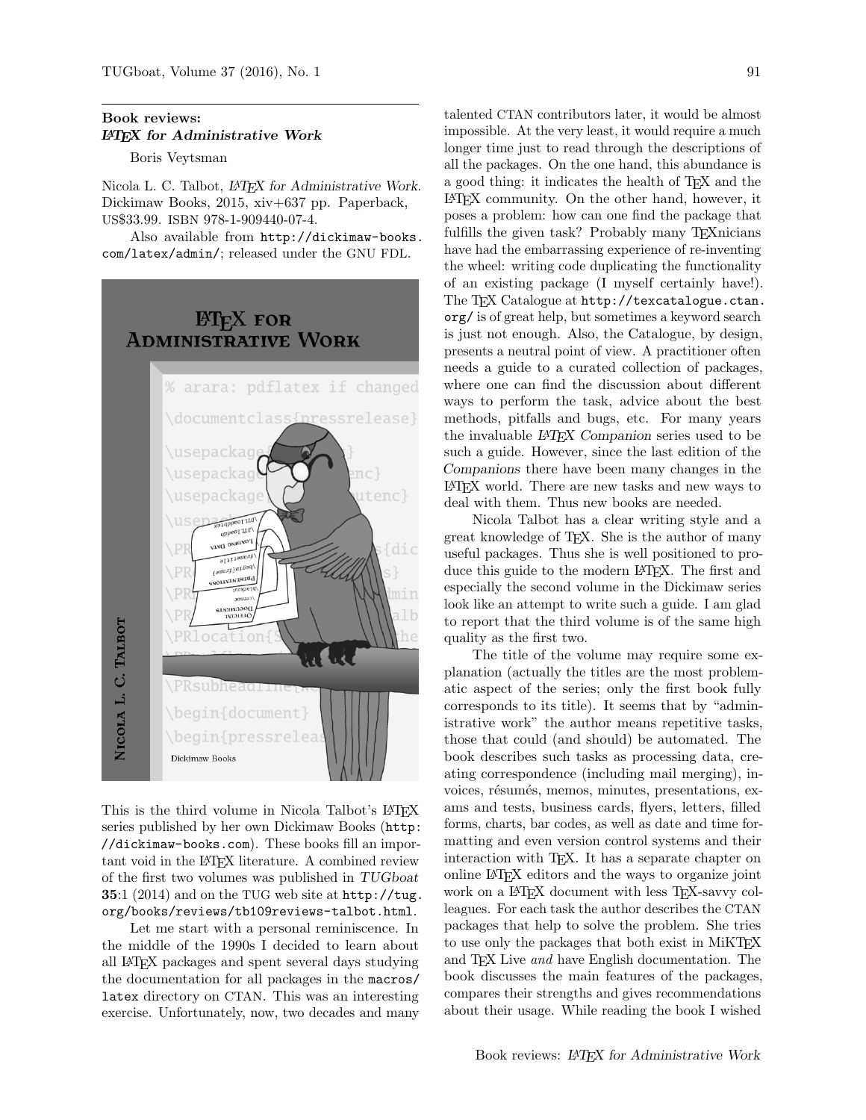## Book reviews: LATEX for Administrative Work

Boris Veytsman

Nicola L. C. Talbot, LAT<sub>F</sub>X for Administrative Work. Dickimaw Books, 2015, xiv+637 pp. Paperback, US\$33.99. ISBN 978-1-909440-07-4.

Also available from [http://dickimaw-books.](http://dickimaw-books.com/latex/admin/) [com/latex/admin/](http://dickimaw-books.com/latex/admin/); released under the GNU FDL.

## **ET<sub>F</sub>X** FOR Administrative Work



This is the third volume in Nicola Talbot's LATEX series published by her own Dickimaw Books ([http:](http://dickimaw-books.com) [//dickimaw-books.com](http://dickimaw-books.com)). These books fill an important void in the LAT<sub>E</sub>X literature. A combined review of the first two volumes was published in TUGboat 35:1 (2014) and on the TUG web site at [http://tug.](http://tug.org/books/reviews/tb109reviews-talbot.html) [org/books/reviews/tb109reviews-talbot.html](http://tug.org/books/reviews/tb109reviews-talbot.html).

Let me start with a personal reminiscence. In the middle of the 1990s I decided to learn about all LATEX packages and spent several days studying the documentation for all packages in the macros/ latex directory on CTAN. This was an interesting exercise. Unfortunately, now, two decades and many

talented CTAN contributors later, it would be almost impossible. At the very least, it would require a much longer time just to read through the descriptions of all the packages. On the one hand, this abundance is a good thing: it indicates the health of TEX and the LATEX community. On the other hand, however, it poses a problem: how can one find the package that fulfills the given task? Probably many TEXnicians have had the embarrassing experience of re-inventing the wheel: writing code duplicating the functionality of an existing package (I myself certainly have!). The TFX Catalogue at [http://texcatalogue.ctan.](http://texcatalogue.ctan.org/) [org/](http://texcatalogue.ctan.org/) is of great help, but sometimes a keyword search is just not enough. Also, the Catalogue, by design, presents a neutral point of view. A practitioner often needs a guide to a curated collection of packages, where one can find the discussion about different ways to perform the task, advice about the best methods, pitfalls and bugs, etc. For many years the invaluable L<sup>A</sup>TEX Companion series used to be such a guide. However, since the last edition of the Companions there have been many changes in the LATEX world. There are new tasks and new ways to deal with them. Thus new books are needed.

Nicola Talbot has a clear writing style and a great knowledge of TEX. She is the author of many useful packages. Thus she is well positioned to produce this guide to the modern LATEX. The first and especially the second volume in the Dickimaw series look like an attempt to write such a guide. I am glad to report that the third volume is of the same high quality as the first two.

The title of the volume may require some explanation (actually the titles are the most problematic aspect of the series; only the first book fully corresponds to its title). It seems that by "administrative work" the author means repetitive tasks, those that could (and should) be automated. The book describes such tasks as processing data, creating correspondence (including mail merging), invoices, résumés, memos, minutes, presentations, exams and tests, business cards, flyers, letters, filled forms, charts, bar codes, as well as date and time formatting and even version control systems and their interaction with TEX. It has a separate chapter on online LATEX editors and the ways to organize joint work on a LAT<sub>EX</sub> document with less T<sub>EX</sub>-savvy colleagues. For each task the author describes the CTAN packages that help to solve the problem. She tries to use only the packages that both exist in MiKT<sub>EX</sub> and T<sub>F</sub>X Live *and* have English documentation. The book discusses the main features of the packages, compares their strengths and gives recommendations about their usage. While reading the book I wished